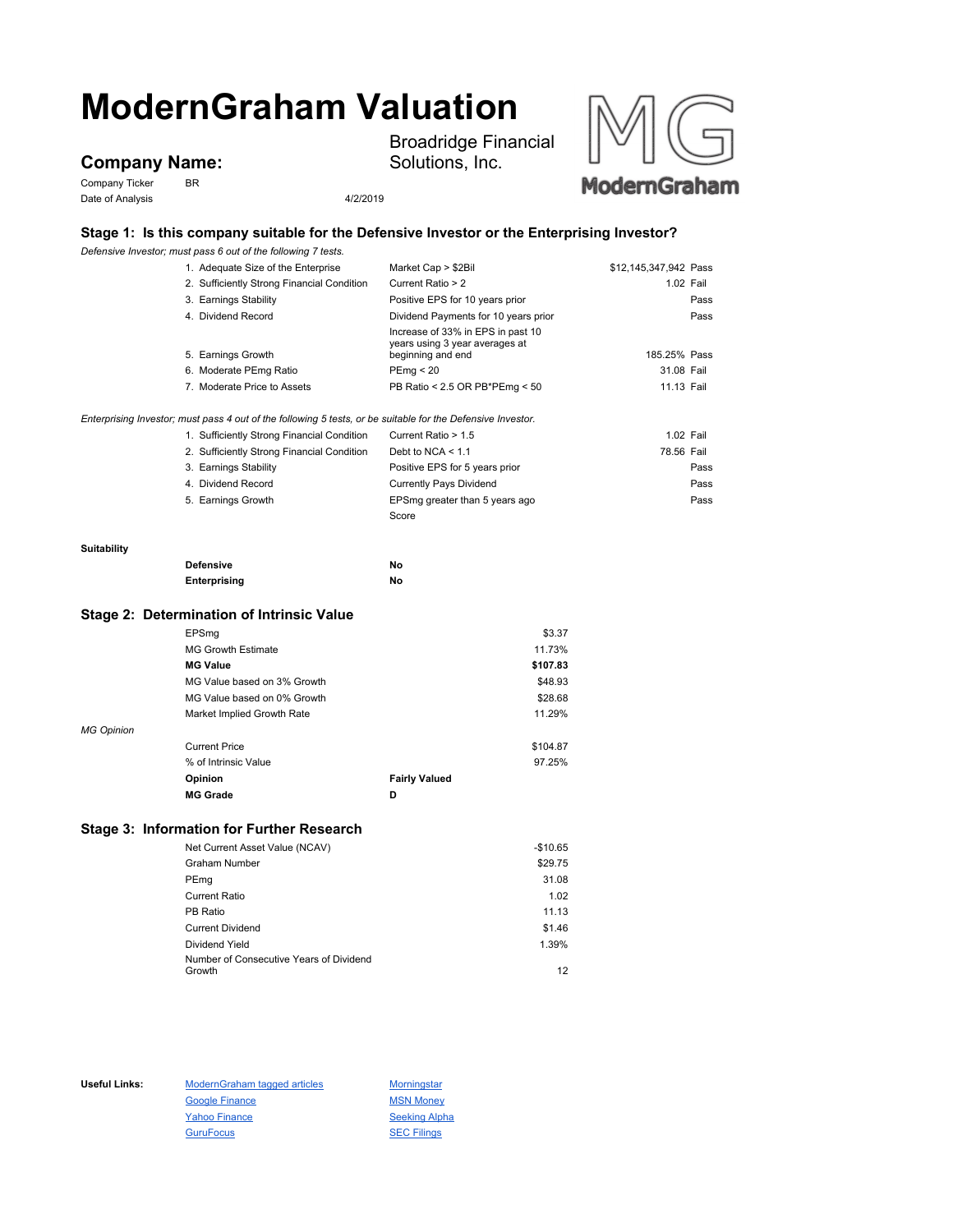# **ModernGraham Valuation**

# **Company Name:**

Company Ticker BR Date of Analysis 4/2/2019

Broadridge Financial Solutions, Inc.



## **Stage 1: Is this company suitable for the Defensive Investor or the Enterprising Investor?**

*Defensive Investor; must pass 6 out of the following 7 tests.*

|                   | Delensive investor, must pass 6 out of the following 7 tests.                                               |                                                                                          |                       |
|-------------------|-------------------------------------------------------------------------------------------------------------|------------------------------------------------------------------------------------------|-----------------------|
|                   | 1. Adequate Size of the Enterprise                                                                          | Market Cap > \$2Bil                                                                      | \$12,145,347,942 Pass |
|                   | 2. Sufficiently Strong Financial Condition                                                                  | Current Ratio > 2                                                                        | 1.02 Fail             |
|                   | 3. Earnings Stability                                                                                       | Positive EPS for 10 years prior                                                          | Pass                  |
|                   | 4. Dividend Record                                                                                          | Dividend Payments for 10 years prior                                                     | Pass                  |
|                   | 5. Earnings Growth                                                                                          | Increase of 33% in EPS in past 10<br>years using 3 year averages at<br>beginning and end | 185.25% Pass          |
|                   | 6. Moderate PEmg Ratio                                                                                      | PEmg < 20                                                                                | 31.08 Fail            |
|                   | 7. Moderate Price to Assets                                                                                 | PB Ratio < 2.5 OR PB*PEmg < 50                                                           | 11.13 Fail            |
|                   | Enterprising Investor; must pass 4 out of the following 5 tests, or be suitable for the Defensive Investor. |                                                                                          |                       |
|                   | 1. Sufficiently Strong Financial Condition                                                                  | Current Ratio > 1.5                                                                      | 1.02 Fail             |
|                   | 2. Sufficiently Strong Financial Condition                                                                  | Debt to NCA $<$ 1.1                                                                      | 78.56 Fail            |
|                   | 3. Earnings Stability                                                                                       | Positive EPS for 5 years prior                                                           | Pass                  |
|                   | 4. Dividend Record                                                                                          | <b>Currently Pays Dividend</b>                                                           | Pass                  |
|                   | 5. Earnings Growth                                                                                          | EPSmg greater than 5 years ago                                                           | Pass                  |
|                   |                                                                                                             | Score                                                                                    |                       |
| Suitability       |                                                                                                             |                                                                                          |                       |
|                   | <b>Defensive</b>                                                                                            | No                                                                                       |                       |
|                   | Enterprising                                                                                                | No                                                                                       |                       |
|                   | Stage 2: Determination of Intrinsic Value                                                                   |                                                                                          |                       |
|                   | EPSmg                                                                                                       | \$3.37                                                                                   |                       |
|                   | <b>MG Growth Estimate</b>                                                                                   | 11.73%                                                                                   |                       |
|                   | <b>MG Value</b>                                                                                             | \$107.83                                                                                 |                       |
|                   | MG Value based on 3% Growth                                                                                 | \$48.93                                                                                  |                       |
|                   | MG Value based on 0% Growth                                                                                 | \$28.68                                                                                  |                       |
|                   | Market Implied Growth Rate                                                                                  | 11.29%                                                                                   |                       |
| <b>MG Opinion</b> |                                                                                                             |                                                                                          |                       |
|                   | <b>Current Price</b>                                                                                        | \$104.87                                                                                 |                       |
|                   | % of Intrinsic Value                                                                                        | 97.25%                                                                                   |                       |
|                   | Opinion                                                                                                     | <b>Fairly Valued</b>                                                                     |                       |
|                   |                                                                                                             |                                                                                          |                       |
|                   | <b>MG Grade</b>                                                                                             | D                                                                                        |                       |
|                   | Stage 3: Information for Further Research                                                                   |                                                                                          |                       |
|                   | Net Current Asset Value (NCAV)                                                                              | $-$10.65$                                                                                |                       |

| <b>Graham Number</b>                    | \$29.75 |
|-----------------------------------------|---------|
| PEmg                                    | 31.08   |
| <b>Current Ratio</b>                    | 1.02    |
| PB Ratio                                | 11.13   |
| <b>Current Dividend</b>                 | \$1.46  |
| Dividend Yield                          | 1.39%   |
| Number of Consecutive Years of Dividend |         |
| Growth                                  | 12      |

Useful Links: ModernGraham tagged articles Morningstar Google Finance MSN Money Yahoo Finance Seeking Alpha GuruFocus **SEC Filings**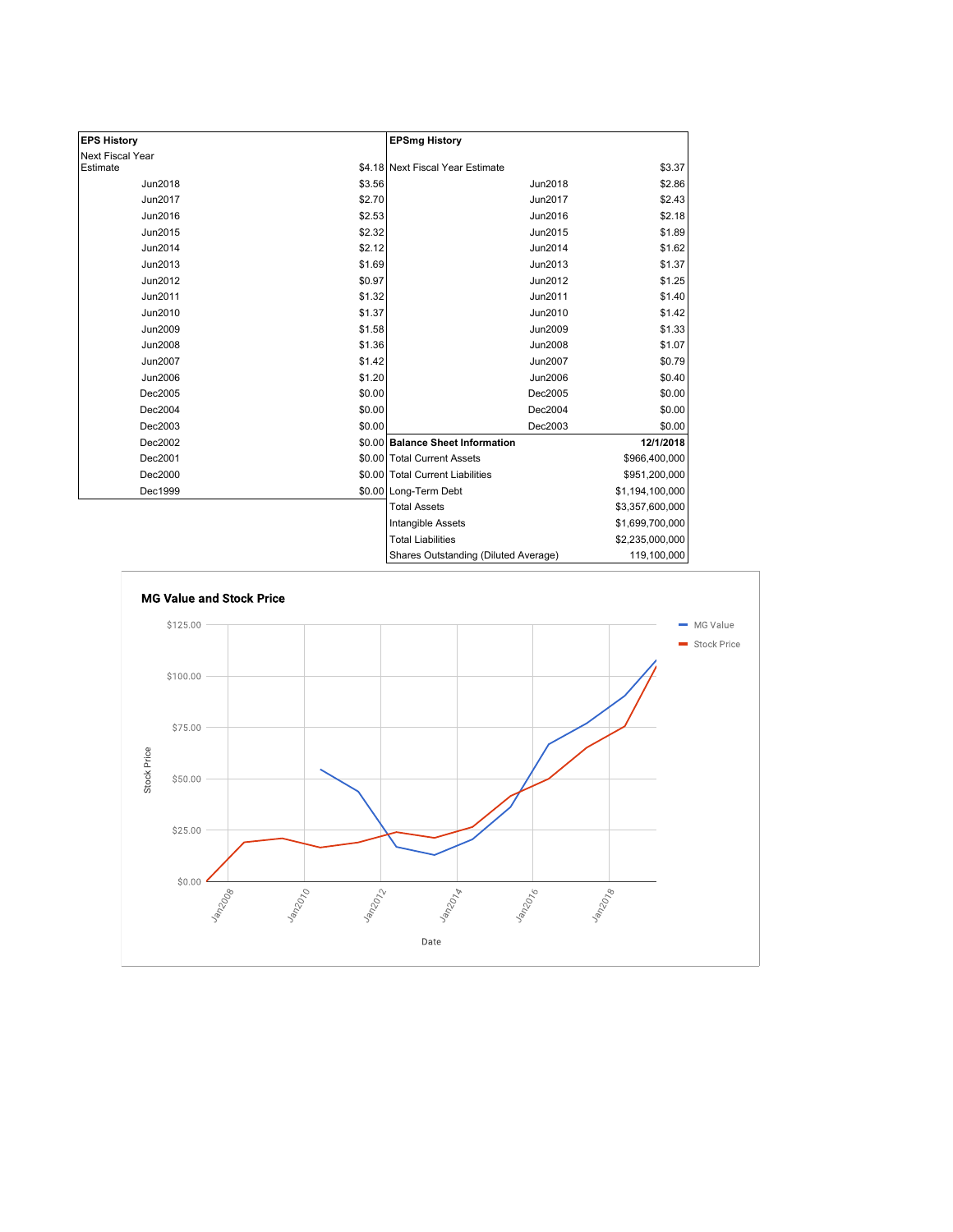| <b>EPS History</b>      |        | <b>EPSmg History</b>                 |                 |
|-------------------------|--------|--------------------------------------|-----------------|
| <b>Next Fiscal Year</b> |        |                                      |                 |
| Estimate                |        | \$4.18 Next Fiscal Year Estimate     | \$3.37          |
| Jun2018                 | \$3.56 | <b>Jun2018</b>                       | \$2.86          |
| Jun2017                 | \$2.70 | Jun2017                              | \$2.43          |
| Jun2016                 | \$2.53 | Jun2016                              | \$2.18          |
| Jun2015                 | \$2.32 | Jun2015                              | \$1.89          |
| Jun2014                 | \$2.12 | Jun2014                              | \$1.62          |
| Jun2013                 | \$1.69 | Jun2013                              | \$1.37          |
| Jun2012                 | \$0.97 | Jun2012                              | \$1.25          |
| Jun2011                 | \$1.32 | Jun2011                              | \$1.40          |
| Jun2010                 | \$1.37 | Jun2010                              | \$1.42          |
| Jun2009                 | \$1.58 | Jun2009                              | \$1.33          |
| Jun2008                 | \$1.36 | <b>Jun2008</b>                       | \$1.07          |
| Jun2007                 | \$1.42 | <b>Jun2007</b>                       | \$0.79          |
| Jun2006                 | \$1.20 | Jun2006                              | \$0.40          |
| Dec2005                 | \$0.00 | Dec2005                              | \$0.00          |
| Dec2004                 | \$0.00 | Dec2004                              | \$0.00          |
| Dec2003                 | \$0.00 | Dec2003                              | \$0.00          |
| Dec2002                 |        | \$0.00 Balance Sheet Information     | 12/1/2018       |
| Dec2001                 |        | \$0.00 Total Current Assets          | \$966,400,000   |
| Dec2000                 |        | \$0.00 Total Current Liabilities     | \$951,200,000   |
| Dec1999                 |        | \$0.00 Long-Term Debt                | \$1,194,100,000 |
|                         |        | <b>Total Assets</b>                  | \$3,357,600,000 |
|                         |        | <b>Intangible Assets</b>             | \$1,699,700,000 |
|                         |        | <b>Total Liabilities</b>             | \$2,235,000,000 |
|                         |        | Shares Outstanding (Diluted Average) | 119,100,000     |